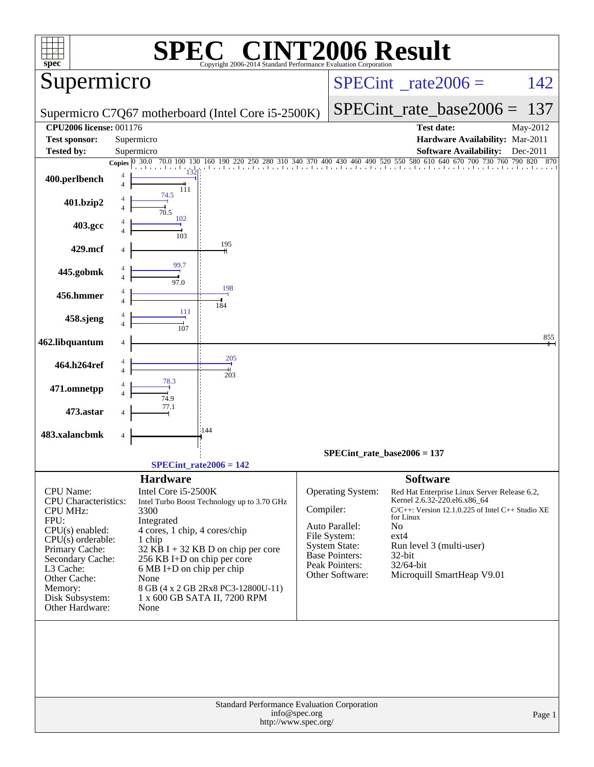| $spec^*$                                                                                                                                                                                                                            |                                                                                                                                                                                       | $\left[\begin{array}{c} \text{R} \\ \text{R} \end{array}\right]$<br>Copyright 2006-2014 Standard Performance Evaluation Corporation                       |                                 | <b>INT2006 Result</b>                                                                                                                     |                                                                                         |                                                                                                                                                                                                 |                 |
|-------------------------------------------------------------------------------------------------------------------------------------------------------------------------------------------------------------------------------------|---------------------------------------------------------------------------------------------------------------------------------------------------------------------------------------|-----------------------------------------------------------------------------------------------------------------------------------------------------------|---------------------------------|-------------------------------------------------------------------------------------------------------------------------------------------|-----------------------------------------------------------------------------------------|-------------------------------------------------------------------------------------------------------------------------------------------------------------------------------------------------|-----------------|
| Supermicro                                                                                                                                                                                                                          |                                                                                                                                                                                       |                                                                                                                                                           | $SPECint^{\circ}$ rate $2006 =$ |                                                                                                                                           |                                                                                         | 142                                                                                                                                                                                             |                 |
|                                                                                                                                                                                                                                     |                                                                                                                                                                                       | Supermicro C7Q67 motherboard (Intel Core i5-2500K)                                                                                                        |                                 |                                                                                                                                           | $SPECint$ rate base $2006 =$                                                            | 137                                                                                                                                                                                             |                 |
| <b>CPU2006 license: 001176</b>                                                                                                                                                                                                      |                                                                                                                                                                                       |                                                                                                                                                           |                                 |                                                                                                                                           |                                                                                         | <b>Test date:</b>                                                                                                                                                                               | May-2012        |
| <b>Test sponsor:</b>                                                                                                                                                                                                                | Supermicro                                                                                                                                                                            |                                                                                                                                                           |                                 |                                                                                                                                           |                                                                                         | Hardware Availability: Mar-2011                                                                                                                                                                 |                 |
| Tested by:                                                                                                                                                                                                                          | Supermicro                                                                                                                                                                            | Copies 0 30.0 70.0 100 130 160 190 220 250 280 310 340 370 400 430 460 490 520 550 580 610 640 670 700 730 760 790 820 870                                |                                 |                                                                                                                                           |                                                                                         | <b>Software Availability:</b>                                                                                                                                                                   | Dec-2011        |
| 400.perlbench                                                                                                                                                                                                                       | 132<br>111                                                                                                                                                                            |                                                                                                                                                           |                                 |                                                                                                                                           |                                                                                         |                                                                                                                                                                                                 |                 |
| 401.bzip2                                                                                                                                                                                                                           | 74.5<br>70.5                                                                                                                                                                          |                                                                                                                                                           |                                 |                                                                                                                                           |                                                                                         |                                                                                                                                                                                                 |                 |
| 403.gcc                                                                                                                                                                                                                             | 102<br>103                                                                                                                                                                            |                                                                                                                                                           |                                 |                                                                                                                                           |                                                                                         |                                                                                                                                                                                                 |                 |
| 429.mcf                                                                                                                                                                                                                             |                                                                                                                                                                                       | 195                                                                                                                                                       |                                 |                                                                                                                                           |                                                                                         |                                                                                                                                                                                                 |                 |
| 445.gobmk                                                                                                                                                                                                                           | 99.7<br>97.0                                                                                                                                                                          |                                                                                                                                                           |                                 |                                                                                                                                           |                                                                                         |                                                                                                                                                                                                 |                 |
| 456.hmmer                                                                                                                                                                                                                           | 111                                                                                                                                                                                   | 198<br>184                                                                                                                                                |                                 |                                                                                                                                           |                                                                                         |                                                                                                                                                                                                 |                 |
| 458.sjeng                                                                                                                                                                                                                           | 107                                                                                                                                                                                   |                                                                                                                                                           |                                 |                                                                                                                                           |                                                                                         |                                                                                                                                                                                                 |                 |
| 462.libquantum                                                                                                                                                                                                                      |                                                                                                                                                                                       |                                                                                                                                                           |                                 |                                                                                                                                           |                                                                                         |                                                                                                                                                                                                 | $\frac{855}{1}$ |
| 464.h264ref                                                                                                                                                                                                                         | 78.3                                                                                                                                                                                  | 205<br>203                                                                                                                                                |                                 |                                                                                                                                           |                                                                                         |                                                                                                                                                                                                 |                 |
| 471.omnetpp                                                                                                                                                                                                                         | 74.9<br>77.1                                                                                                                                                                          |                                                                                                                                                           |                                 |                                                                                                                                           |                                                                                         |                                                                                                                                                                                                 |                 |
| 473.astar                                                                                                                                                                                                                           |                                                                                                                                                                                       | 144                                                                                                                                                       |                                 |                                                                                                                                           |                                                                                         |                                                                                                                                                                                                 |                 |
| 483.xalancbmk                                                                                                                                                                                                                       |                                                                                                                                                                                       |                                                                                                                                                           |                                 |                                                                                                                                           |                                                                                         |                                                                                                                                                                                                 |                 |
|                                                                                                                                                                                                                                     |                                                                                                                                                                                       |                                                                                                                                                           |                                 | $SPECint_rate_base2006 = 137$                                                                                                             |                                                                                         |                                                                                                                                                                                                 |                 |
|                                                                                                                                                                                                                                     |                                                                                                                                                                                       | $SPECint_rate2006 = 142$                                                                                                                                  |                                 |                                                                                                                                           |                                                                                         |                                                                                                                                                                                                 |                 |
| CPU Name:<br><b>CPU</b> Characteristics:<br><b>CPU MHz:</b><br>FPU:<br>$CPU(s)$ enabled:<br>$CPU(s)$ orderable:<br>Primary Cache:<br>Secondary Cache:<br>L3 Cache:<br>Other Cache:<br>Memory:<br>Disk Subsystem:<br>Other Hardware: | <b>Hardware</b><br>Intel Core i5-2500K<br>3300<br>Integrated<br>4 cores, 1 chip, 4 cores/chip<br>1 chip<br>256 KB I+D on chip per core<br>$6 MB I+D$ on chip per chip<br>None<br>None | Intel Turbo Boost Technology up to 3.70 GHz<br>$32$ KB I + 32 KB D on chip per core<br>8 GB (4 x 2 GB 2Rx8 PC3-12800U-11)<br>1 x 600 GB SATA II, 7200 RPM | Compiler:                       | Operating System:<br>Auto Parallel:<br>File System:<br><b>System State:</b><br><b>Base Pointers:</b><br>Peak Pointers:<br>Other Software: | <b>Software</b><br>for Linux<br>N <sub>o</sub><br>$ext{4}$<br>$32$ -bit<br>$32/64$ -bit | Red Hat Enterprise Linux Server Release 6.2,<br>Kernel 2.6.32-220.el6.x86_64<br>$C/C++$ : Version 12.1.0.225 of Intel $C++$ Studio XE<br>Run level 3 (multi-user)<br>Microquill SmartHeap V9.01 |                 |
|                                                                                                                                                                                                                                     |                                                                                                                                                                                       | Standard Performance Evaluation Corporation<br>http://www.spec.org/                                                                                       | info@spec.org                   |                                                                                                                                           |                                                                                         |                                                                                                                                                                                                 | Page 1          |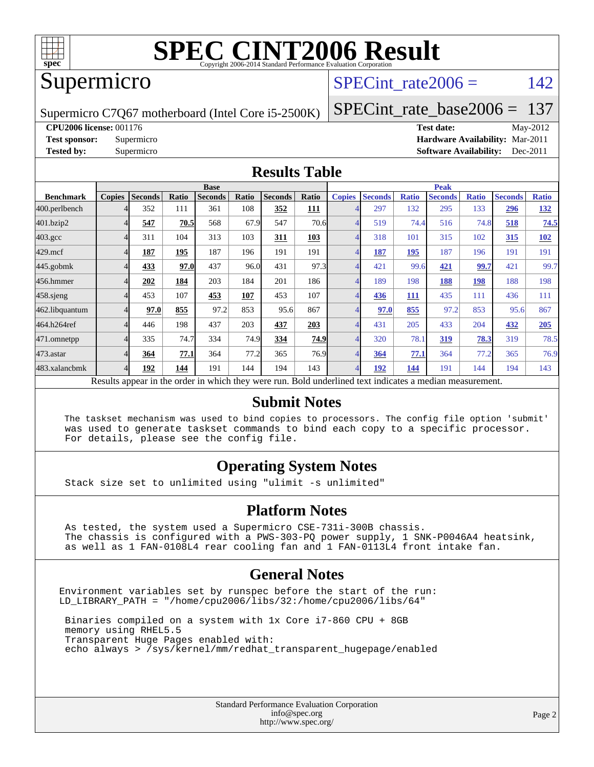

#### Supermicro

#### SPECint rate $2006 = 142$

Supermicro C7Q67 motherboard (Intel Core i5-2500K)

[SPECint\\_rate\\_base2006 =](http://www.spec.org/auto/cpu2006/Docs/result-fields.html#SPECintratebase2006) 137

**[CPU2006 license:](http://www.spec.org/auto/cpu2006/Docs/result-fields.html#CPU2006license)** 001176 **[Test date:](http://www.spec.org/auto/cpu2006/Docs/result-fields.html#Testdate)** May-2012

**[Test sponsor:](http://www.spec.org/auto/cpu2006/Docs/result-fields.html#Testsponsor)** Supermicro **[Hardware Availability:](http://www.spec.org/auto/cpu2006/Docs/result-fields.html#HardwareAvailability)** Mar-2011 **[Tested by:](http://www.spec.org/auto/cpu2006/Docs/result-fields.html#Testedby)** Supermicro **Supermicro [Software Availability:](http://www.spec.org/auto/cpu2006/Docs/result-fields.html#SoftwareAvailability)** Dec-2011

#### **[Results Table](http://www.spec.org/auto/cpu2006/Docs/result-fields.html#ResultsTable)**

|                                                                                                          | <b>Base</b>   |                |       |                |       |                |             | <b>Peak</b>   |                |              |                |              |                |              |
|----------------------------------------------------------------------------------------------------------|---------------|----------------|-------|----------------|-------|----------------|-------------|---------------|----------------|--------------|----------------|--------------|----------------|--------------|
| <b>Benchmark</b>                                                                                         | <b>Copies</b> | <b>Seconds</b> | Ratio | <b>Seconds</b> | Ratio | <b>Seconds</b> | Ratio       | <b>Copies</b> | <b>Seconds</b> | <b>Ratio</b> | <b>Seconds</b> | <b>Ratio</b> | <b>Seconds</b> | <b>Ratio</b> |
| 400.perlbench                                                                                            | 4             | 352            | 111   | 361            | 108   | 352            | 111         |               | 297            | 132          | 295            | 133          | 296            | 132          |
| 401.bzip2                                                                                                | 4             | 547            | 70.5  | 568            | 67.9  | 547            | 70.6        | 4             | 519            | 74.4         | 516            | 74.8         | 518            | 74.5         |
| $403.\mathrm{gcc}$                                                                                       | 4             | 311            | 104   | 313            | 103   | 311            | 103         | 4             | 318            | 101          | 315            | 102          | 315            | <b>102</b>   |
| $429$ .mcf                                                                                               | 4             | 187            | 195   | 187            | 196   | 191            | 191         | 4             | 187            | 195          | 187            | 196          | 191            | 191          |
| $445$ .gobm $k$                                                                                          | 4             | 433            | 97.0  | 437            | 96.0  | 431            | 97.3        | 4             | 421            | 99.6         | 421            | 99.7         | 421            | 99.7         |
| 456.hmmer                                                                                                |               | 202            | 184   | 203            | 184   | 201            | 186         | 4             | 189            | 198          | 188            | 198          | 188            | 198          |
| $458$ .sjeng                                                                                             | 4             | 453            | 107   | 453            | 107   | 453            | 107         | 4             | 436            | 111          | 435            | 111          | 436            | 111          |
| 462.libquantum                                                                                           | 4             | 97.0           | 855   | 97.2           | 853   | 95.6           | 867         | 4             | 97.0           | 855          | 97.2           | 853          | 95.6           | 867          |
| 464.h264ref                                                                                              | 4             | 446            | 198   | 437            | 203   | 437            | 203         | 4             | 431            | 205          | 433            | 204          | 432            | 205          |
| 471.omnetpp                                                                                              | 4             | 335            | 74.7  | 334            | 74.9  | 334            | <b>74.9</b> | 4             | 320            | 78.1         | 319            | 78.3         | 319            | 78.5         |
| $473$ . astar                                                                                            | 4             | 364            | 77.1  | 364            | 77.2  | 365            | 76.9        | 4             | 364            | 77.1         | 364            | 77.2         | 365            | 76.9         |
| 483.xalancbmk                                                                                            | 4             | 192            | 144   | 191            | 144   | 194            | 143         | 4             | 192            | 144          | 191            | 144          | 194            | 143          |
| Results appear in the order in which they were run. Bold underlined text indicates a median measurement. |               |                |       |                |       |                |             |               |                |              |                |              |                |              |

#### **[Submit Notes](http://www.spec.org/auto/cpu2006/Docs/result-fields.html#SubmitNotes)**

 The taskset mechanism was used to bind copies to processors. The config file option 'submit' was used to generate taskset commands to bind each copy to a specific processor. For details, please see the config file.

#### **[Operating System Notes](http://www.spec.org/auto/cpu2006/Docs/result-fields.html#OperatingSystemNotes)**

Stack size set to unlimited using "ulimit -s unlimited"

#### **[Platform Notes](http://www.spec.org/auto/cpu2006/Docs/result-fields.html#PlatformNotes)**

 As tested, the system used a Supermicro CSE-731i-300B chassis. The chassis is configured with a PWS-303-PQ power supply, 1 SNK-P0046A4 heatsink, as well as 1 FAN-0108L4 rear cooling fan and 1 FAN-0113L4 front intake fan.

#### **[General Notes](http://www.spec.org/auto/cpu2006/Docs/result-fields.html#GeneralNotes)**

Environment variables set by runspec before the start of the run: LD\_LIBRARY\_PATH = "/home/cpu2006/libs/32:/home/cpu2006/libs/64"

 Binaries compiled on a system with 1x Core i7-860 CPU + 8GB memory using RHEL5.5 Transparent Huge Pages enabled with: echo always > /sys/kernel/mm/redhat\_transparent\_hugepage/enabled

> Standard Performance Evaluation Corporation [info@spec.org](mailto:info@spec.org) <http://www.spec.org/>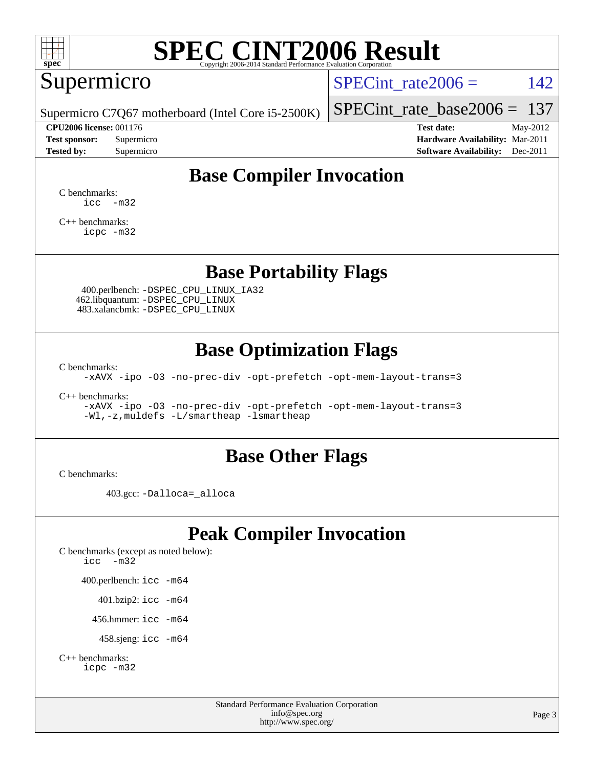

## Supermicro

SPECint rate  $2006 = 142$ 

Supermicro C7Q67 motherboard (Intel Core i5-2500K)

[SPECint\\_rate\\_base2006 =](http://www.spec.org/auto/cpu2006/Docs/result-fields.html#SPECintratebase2006) 137

**[CPU2006 license:](http://www.spec.org/auto/cpu2006/Docs/result-fields.html#CPU2006license)** 001176 **[Test date:](http://www.spec.org/auto/cpu2006/Docs/result-fields.html#Testdate)** May-2012 **[Test sponsor:](http://www.spec.org/auto/cpu2006/Docs/result-fields.html#Testsponsor)** Supermicro **[Hardware Availability:](http://www.spec.org/auto/cpu2006/Docs/result-fields.html#HardwareAvailability)** Mar-2011 **[Tested by:](http://www.spec.org/auto/cpu2006/Docs/result-fields.html#Testedby)** Supermicro **Supermicro [Software Availability:](http://www.spec.org/auto/cpu2006/Docs/result-fields.html#SoftwareAvailability)** Dec-2011

## **[Base Compiler Invocation](http://www.spec.org/auto/cpu2006/Docs/result-fields.html#BaseCompilerInvocation)**

[C benchmarks](http://www.spec.org/auto/cpu2006/Docs/result-fields.html#Cbenchmarks):  $\text{icc}$   $-\text{m32}$ 

[C++ benchmarks:](http://www.spec.org/auto/cpu2006/Docs/result-fields.html#CXXbenchmarks) [icpc -m32](http://www.spec.org/cpu2006/results/res2012q3/cpu2006-20120514-21738.flags.html#user_CXXbase_intel_icpc_4e5a5ef1a53fd332b3c49e69c3330699)

### **[Base Portability Flags](http://www.spec.org/auto/cpu2006/Docs/result-fields.html#BasePortabilityFlags)**

 400.perlbench: [-DSPEC\\_CPU\\_LINUX\\_IA32](http://www.spec.org/cpu2006/results/res2012q3/cpu2006-20120514-21738.flags.html#b400.perlbench_baseCPORTABILITY_DSPEC_CPU_LINUX_IA32) 462.libquantum: [-DSPEC\\_CPU\\_LINUX](http://www.spec.org/cpu2006/results/res2012q3/cpu2006-20120514-21738.flags.html#b462.libquantum_baseCPORTABILITY_DSPEC_CPU_LINUX) 483.xalancbmk: [-DSPEC\\_CPU\\_LINUX](http://www.spec.org/cpu2006/results/res2012q3/cpu2006-20120514-21738.flags.html#b483.xalancbmk_baseCXXPORTABILITY_DSPEC_CPU_LINUX)

### **[Base Optimization Flags](http://www.spec.org/auto/cpu2006/Docs/result-fields.html#BaseOptimizationFlags)**

[C benchmarks](http://www.spec.org/auto/cpu2006/Docs/result-fields.html#Cbenchmarks):

[-xAVX](http://www.spec.org/cpu2006/results/res2012q3/cpu2006-20120514-21738.flags.html#user_CCbase_f-xAVX) [-ipo](http://www.spec.org/cpu2006/results/res2012q3/cpu2006-20120514-21738.flags.html#user_CCbase_f-ipo) [-O3](http://www.spec.org/cpu2006/results/res2012q3/cpu2006-20120514-21738.flags.html#user_CCbase_f-O3) [-no-prec-div](http://www.spec.org/cpu2006/results/res2012q3/cpu2006-20120514-21738.flags.html#user_CCbase_f-no-prec-div) [-opt-prefetch](http://www.spec.org/cpu2006/results/res2012q3/cpu2006-20120514-21738.flags.html#user_CCbase_f-opt-prefetch) [-opt-mem-layout-trans=3](http://www.spec.org/cpu2006/results/res2012q3/cpu2006-20120514-21738.flags.html#user_CCbase_f-opt-mem-layout-trans_a7b82ad4bd7abf52556d4961a2ae94d5)

[C++ benchmarks:](http://www.spec.org/auto/cpu2006/Docs/result-fields.html#CXXbenchmarks)

[-xAVX](http://www.spec.org/cpu2006/results/res2012q3/cpu2006-20120514-21738.flags.html#user_CXXbase_f-xAVX) [-ipo](http://www.spec.org/cpu2006/results/res2012q3/cpu2006-20120514-21738.flags.html#user_CXXbase_f-ipo) [-O3](http://www.spec.org/cpu2006/results/res2012q3/cpu2006-20120514-21738.flags.html#user_CXXbase_f-O3) [-no-prec-div](http://www.spec.org/cpu2006/results/res2012q3/cpu2006-20120514-21738.flags.html#user_CXXbase_f-no-prec-div) [-opt-prefetch](http://www.spec.org/cpu2006/results/res2012q3/cpu2006-20120514-21738.flags.html#user_CXXbase_f-opt-prefetch) [-opt-mem-layout-trans=3](http://www.spec.org/cpu2006/results/res2012q3/cpu2006-20120514-21738.flags.html#user_CXXbase_f-opt-mem-layout-trans_a7b82ad4bd7abf52556d4961a2ae94d5) [-Wl,-z,muldefs](http://www.spec.org/cpu2006/results/res2012q3/cpu2006-20120514-21738.flags.html#user_CXXbase_link_force_multiple1_74079c344b956b9658436fd1b6dd3a8a) [-L/smartheap -lsmartheap](http://www.spec.org/cpu2006/results/res2012q3/cpu2006-20120514-21738.flags.html#user_CXXbase_SmartHeap_7c9e394a5779e1a7fec7c221e123830c)

#### **[Base Other Flags](http://www.spec.org/auto/cpu2006/Docs/result-fields.html#BaseOtherFlags)**

[C benchmarks](http://www.spec.org/auto/cpu2006/Docs/result-fields.html#Cbenchmarks):

403.gcc: [-Dalloca=\\_alloca](http://www.spec.org/cpu2006/results/res2012q3/cpu2006-20120514-21738.flags.html#b403.gcc_baseEXTRA_CFLAGS_Dalloca_be3056838c12de2578596ca5467af7f3)

## **[Peak Compiler Invocation](http://www.spec.org/auto/cpu2006/Docs/result-fields.html#PeakCompilerInvocation)**

[C benchmarks \(except as noted below\)](http://www.spec.org/auto/cpu2006/Docs/result-fields.html#Cbenchmarksexceptasnotedbelow): [icc -m32](http://www.spec.org/cpu2006/results/res2012q3/cpu2006-20120514-21738.flags.html#user_CCpeak_intel_icc_5ff4a39e364c98233615fdd38438c6f2) 400.perlbench: [icc -m64](http://www.spec.org/cpu2006/results/res2012q3/cpu2006-20120514-21738.flags.html#user_peakCCLD400_perlbench_intel_icc_64bit_bda6cc9af1fdbb0edc3795bac97ada53) 401.bzip2: [icc -m64](http://www.spec.org/cpu2006/results/res2012q3/cpu2006-20120514-21738.flags.html#user_peakCCLD401_bzip2_intel_icc_64bit_bda6cc9af1fdbb0edc3795bac97ada53)

456.hmmer: [icc -m64](http://www.spec.org/cpu2006/results/res2012q3/cpu2006-20120514-21738.flags.html#user_peakCCLD456_hmmer_intel_icc_64bit_bda6cc9af1fdbb0edc3795bac97ada53)

458.sjeng: [icc -m64](http://www.spec.org/cpu2006/results/res2012q3/cpu2006-20120514-21738.flags.html#user_peakCCLD458_sjeng_intel_icc_64bit_bda6cc9af1fdbb0edc3795bac97ada53)

```
C++ benchmarks: 
    icpc -m32
```
Standard Performance Evaluation Corporation [info@spec.org](mailto:info@spec.org) <http://www.spec.org/>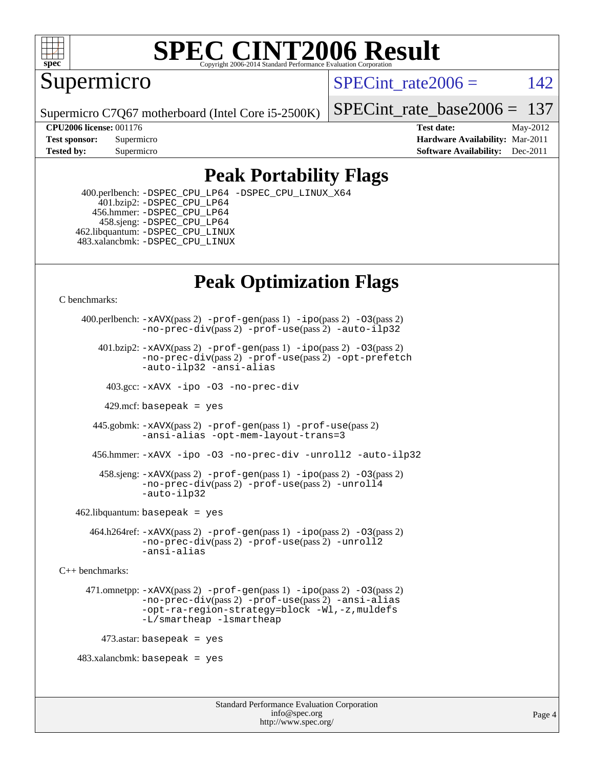

Supermicro

SPECint rate $2006 = 142$ 

Supermicro C7Q67 motherboard (Intel Core i5-2500K)

[SPECint\\_rate\\_base2006 =](http://www.spec.org/auto/cpu2006/Docs/result-fields.html#SPECintratebase2006) 137

**[CPU2006 license:](http://www.spec.org/auto/cpu2006/Docs/result-fields.html#CPU2006license)** 001176 **[Test date:](http://www.spec.org/auto/cpu2006/Docs/result-fields.html#Testdate)** May-2012 **[Test sponsor:](http://www.spec.org/auto/cpu2006/Docs/result-fields.html#Testsponsor)** Supermicro **[Hardware Availability:](http://www.spec.org/auto/cpu2006/Docs/result-fields.html#HardwareAvailability)** Mar-2011 **[Tested by:](http://www.spec.org/auto/cpu2006/Docs/result-fields.html#Testedby)** Supermicro **Supermicro [Software Availability:](http://www.spec.org/auto/cpu2006/Docs/result-fields.html#SoftwareAvailability)** Dec-2011

## **[Peak Portability Flags](http://www.spec.org/auto/cpu2006/Docs/result-fields.html#PeakPortabilityFlags)**

 400.perlbench: [-DSPEC\\_CPU\\_LP64](http://www.spec.org/cpu2006/results/res2012q3/cpu2006-20120514-21738.flags.html#b400.perlbench_peakCPORTABILITY_DSPEC_CPU_LP64) [-DSPEC\\_CPU\\_LINUX\\_X64](http://www.spec.org/cpu2006/results/res2012q3/cpu2006-20120514-21738.flags.html#b400.perlbench_peakCPORTABILITY_DSPEC_CPU_LINUX_X64) 401.bzip2: [-DSPEC\\_CPU\\_LP64](http://www.spec.org/cpu2006/results/res2012q3/cpu2006-20120514-21738.flags.html#suite_peakCPORTABILITY401_bzip2_DSPEC_CPU_LP64) 456.hmmer: [-DSPEC\\_CPU\\_LP64](http://www.spec.org/cpu2006/results/res2012q3/cpu2006-20120514-21738.flags.html#suite_peakCPORTABILITY456_hmmer_DSPEC_CPU_LP64) 458.sjeng: [-DSPEC\\_CPU\\_LP64](http://www.spec.org/cpu2006/results/res2012q3/cpu2006-20120514-21738.flags.html#suite_peakCPORTABILITY458_sjeng_DSPEC_CPU_LP64) 462.libquantum: [-DSPEC\\_CPU\\_LINUX](http://www.spec.org/cpu2006/results/res2012q3/cpu2006-20120514-21738.flags.html#b462.libquantum_peakCPORTABILITY_DSPEC_CPU_LINUX) 483.xalancbmk: [-DSPEC\\_CPU\\_LINUX](http://www.spec.org/cpu2006/results/res2012q3/cpu2006-20120514-21738.flags.html#b483.xalancbmk_peakCXXPORTABILITY_DSPEC_CPU_LINUX)

## **[Peak Optimization Flags](http://www.spec.org/auto/cpu2006/Docs/result-fields.html#PeakOptimizationFlags)**

[C benchmarks](http://www.spec.org/auto/cpu2006/Docs/result-fields.html#Cbenchmarks):

```
 400.perlbench: -xAVX(pass 2) -prof-gen(pass 1) -ipo(pass 2) -O3(pass 2)
                -no-prec-div(pass 2) -prof-use(pass 2) -auto-ilp32
        401.bzip2: -xAVX(pass 2) -prof-gen(pass 1) -ipo(pass 2) -O3(pass 2)
                -no-prec-div(pass 2) -prof-use(pass 2) -opt-prefetch
                -auto-ilp32 -ansi-alias
          403.gcc: -xAVX -ipo -O3 -no-prec-div
         429.mcf: basepeak = yes
       445.gobmk: -xAVX(pass 2) -prof-gen(pass 1) -prof-use(pass 2)
                -ansi-alias -opt-mem-layout-trans=3
       456.hmmer: -xAVX -ipo -O3 -no-prec-div -unroll2 -auto-ilp32
         458.sjeng: -xAVX(pass 2) -prof-gen(pass 1) -ipo(pass 2) -O3(pass 2)
                -no-prec-div(pass 2) -prof-use(pass 2) -unroll4
                -auto-ilp32
   462.libquantum: basepeak = yes
       464.h264ref: -xAVX(pass 2) -prof-gen(pass 1) -ipo(pass 2) -O3(pass 2)
                -no-prec-div(pass 2) -prof-use(pass 2) -unroll2
                -ansi-alias
C++ benchmarks: 
      471.omnetpp: -xAVX(pass 2) -prof-gen(pass 1) -ipo(pass 2) -O3(pass 2)
                -no-prec-div(pass 2) -prof-use(pass 2) -ansi-alias
                -opt-ra-region-strategy=block -Wl,-z,muldefs
                -L/smartheap -lsmartheap
        473.astar: basepeak = yes
   483.xalanchmk: basepeak = yes
```